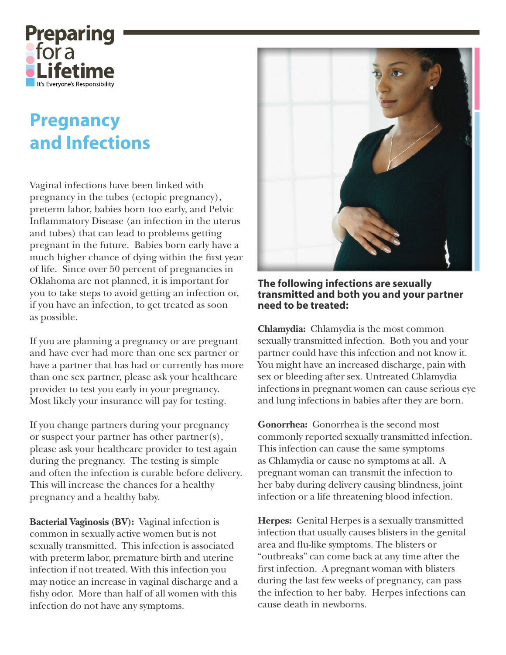

## **Pregnancy** and Infections

Vaginal infections have been linked with pregnancy in the tubes (ectopic pregnancy), preterm labor, babies born too early, and Pelvic Inflammatory Disease (an infection in the uterus and tubes) that can lead to problems getting pregnant in the future. Babies born early have a much higher chance of dying within the first year of life. Since over 50 percent of pregnancies in Oklahoma are not planned, it is important for you to take steps to avoid getting an infection or, if you have an infection, to get treated as soon as possible.

If you are planning a pregnancy or are pregnant and have ever had more than one sex partner or have a partner that has had or currently has more than one sex partner, please ask your healthcare provider to test you early in your pregnancy. Most likely your insurance will pay for testing.

If you change partners during your pregnancy or suspect your partner has other partner(s), please ask your healthcare provider to test again during the pregnancy. The testing is simple and often the infection is curable before delivery. This will increase the chances for a healthy pregnancy and a healthy baby.

Bacterial Vaginosis (BV): Vaginal infection is common in sexually active women but is not sexually transmitted. This infection is associated with preterm labor, premature birth and uterine infection if not treated. With this infection you may notice an increase in vaginal discharge and a fishy odor. More than half of all women with this infection do not have any symptoms.



The following infections are sexually transmitted and both you and your partner need to be treated:

Chlamydia: Chlamydia is the most common sexually transmitted infection. Both you and your partner could have this infection and not know it. You might have an increased discharge, pain with sex or bleeding after sex. Untreated Chlamydia infections in pregnant women can cause serious eye and lung infections in babies after they are born.

**Gonorrhea:** Gonorrhea is the second most commonly reported sexually transmitted infection. This infection can cause the same symptoms as Chlamydia or cause no symptoms at all. A pregnant woman can transmit the infection to her baby during delivery causing blindness, joint infection or a life threatening blood infection.

Herpes: Genital Herpes is a sexually transmitted infection that usually causes blisters in the genital area and flu-like symptoms. The blisters or "outbreaks" can come back at any time after the first infection. A pregnant woman with blisters during the last few weeks of pregnancy, can pass the infection to her baby. Herpes infections can cause death in newborns.